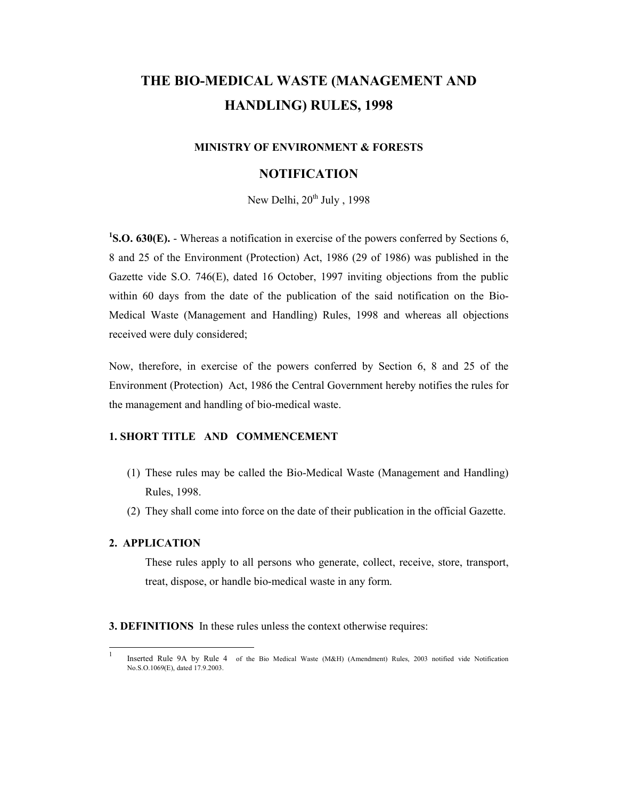# THE BIO-MEDICAL WASTE (MANAGEMENT AND HANDLING) RULES, 1998

#### MINISTRY OF ENVIRONMENT & FORESTS

## NOTIFICATION

New Delhi,  $20^{th}$  July, 1998

<sup>1</sup>S.O. 630(E). - Whereas a notification in exercise of the powers conferred by Sections 6, 8 and 25 of the Environment (Protection) Act, 1986 (29 of 1986) was published in the Gazette vide S.O. 746(E), dated 16 October, 1997 inviting objections from the public within 60 days from the date of the publication of the said notification on the Bio-Medical Waste (Management and Handling) Rules, 1998 and whereas all objections received were duly considered;

Now, therefore, in exercise of the powers conferred by Section 6, 8 and 25 of the Environment (Protection) Act, 1986 the Central Government hereby notifies the rules for the management and handling of bio-medical waste.

## 1. SHORT TITLE AND COMMENCEMENT

- (1) These rules may be called the Bio-Medical Waste (Management and Handling) Rules, 1998.
- (2) They shall come into force on the date of their publication in the official Gazette.

#### 2. APPLICATION

-

These rules apply to all persons who generate, collect, receive, store, transport, treat, dispose, or handle bio-medical waste in any form.

3. DEFINITIONS In these rules unless the context otherwise requires:

<sup>1</sup> Inserted Rule 9A by Rule 4 of the Bio Medical Waste (M&H) (Amendment) Rules, 2003 notified vide Notification No.S.O.1069(E), dated 17.9.2003.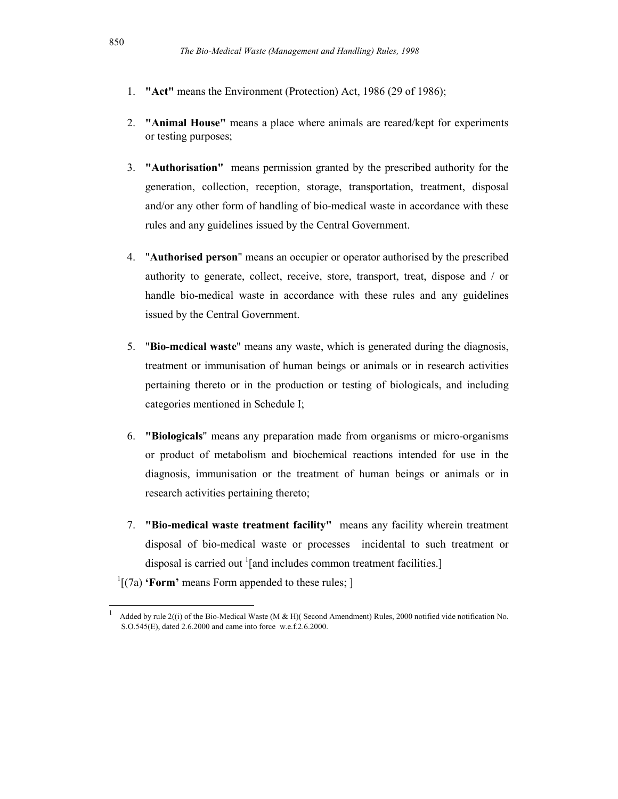- 1. "Act" means the Environment (Protection) Act, 1986 (29 of 1986);
- 2. "Animal House" means a place where animals are reared/kept for experiments or testing purposes;
- 3. "Authorisation" means permission granted by the prescribed authority for the generation, collection, reception, storage, transportation, treatment, disposal and/or any other form of handling of bio-medical waste in accordance with these rules and any guidelines issued by the Central Government.
- 4. "Authorised person" means an occupier or operator authorised by the prescribed authority to generate, collect, receive, store, transport, treat, dispose and / or handle bio-medical waste in accordance with these rules and any guidelines issued by the Central Government.
- 5. "Bio-medical waste" means any waste, which is generated during the diagnosis, treatment or immunisation of human beings or animals or in research activities pertaining thereto or in the production or testing of biologicals, and including categories mentioned in Schedule I;
- 6. "Biologicals" means any preparation made from organisms or micro-organisms or product of metabolism and biochemical reactions intended for use in the diagnosis, immunisation or the treatment of human beings or animals or in research activities pertaining thereto;
- 7. "Bio-medical waste treatment facility" means any facility wherein treatment disposal of bio-medical waste or processes incidental to such treatment or disposal is carried out <sup>1</sup>[and includes common treatment facilities.]
- $\frac{1}{1}$ [(7a) 'Form' means Form appended to these rules; ]

1

<sup>1</sup> Added by rule 2((i) of the Bio-Medical Waste (M & H)( Second Amendment) Rules, 2000 notified vide notification No. S.O.545(E), dated 2.6.2000 and came into force w.e.f.2.6.2000.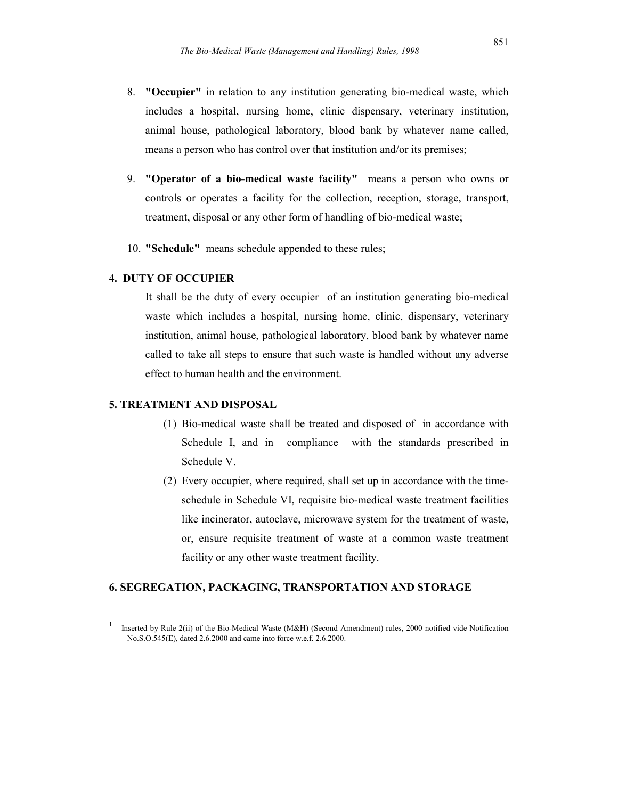- 8. "Occupier" in relation to any institution generating bio-medical waste, which includes a hospital, nursing home, clinic dispensary, veterinary institution, animal house, pathological laboratory, blood bank by whatever name called, means a person who has control over that institution and/or its premises;
- 9. "Operator of a bio-medical waste facility" means a person who owns or controls or operates a facility for the collection, reception, storage, transport, treatment, disposal or any other form of handling of bio-medical waste;
- 10. "Schedule" means schedule appended to these rules;

## 4. DUTY OF OCCUPIER

It shall be the duty of every occupier of an institution generating bio-medical waste which includes a hospital, nursing home, clinic, dispensary, veterinary institution, animal house, pathological laboratory, blood bank by whatever name called to take all steps to ensure that such waste is handled without any adverse effect to human health and the environment.

### 5. TREATMENT AND DISPOSAL

 $\frac{1}{1}$ 

- (1) Bio-medical waste shall be treated and disposed of in accordance with Schedule I, and in compliance with the standards prescribed in Schedule V.
- (2) Every occupier, where required, shall set up in accordance with the timeschedule in Schedule VI, requisite bio-medical waste treatment facilities like incinerator, autoclave, microwave system for the treatment of waste, or, ensure requisite treatment of waste at a common waste treatment facility or any other waste treatment facility.

#### 6. SEGREGATION, PACKAGING, TRANSPORTATION AND STORAGE

Inserted by Rule 2(ii) of the Bio-Medical Waste (M&H) (Second Amendment) rules, 2000 notified vide Notification No.S.O.545(E), dated 2.6.2000 and came into force w.e.f. 2.6.2000.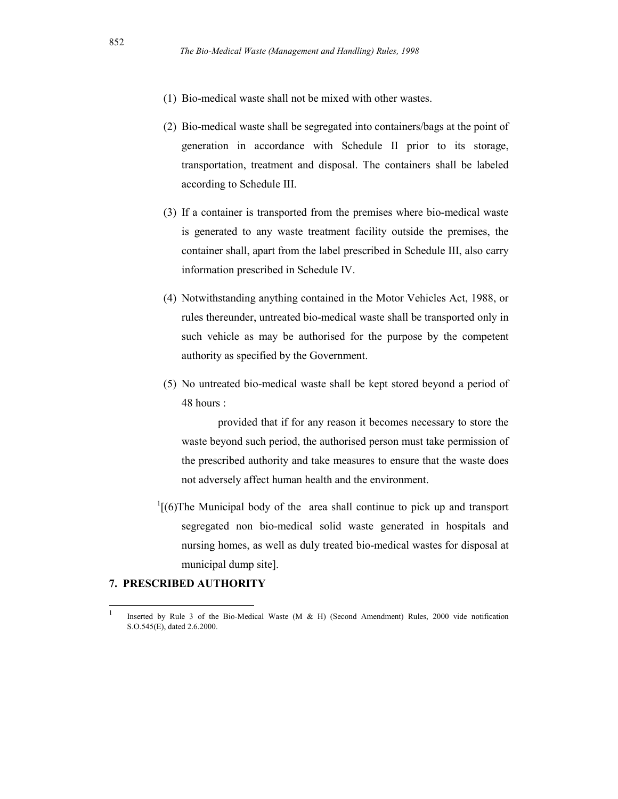- (1) Bio-medical waste shall not be mixed with other wastes.
- (2) Bio-medical waste shall be segregated into containers/bags at the point of generation in accordance with Schedule II prior to its storage, transportation, treatment and disposal. The containers shall be labeled according to Schedule III.
- (3) If a container is transported from the premises where bio-medical waste is generated to any waste treatment facility outside the premises, the container shall, apart from the label prescribed in Schedule III, also carry information prescribed in Schedule IV.
- (4) Notwithstanding anything contained in the Motor Vehicles Act, 1988, or rules thereunder, untreated bio-medical waste shall be transported only in such vehicle as may be authorised for the purpose by the competent authority as specified by the Government.
- (5) No untreated bio-medical waste shall be kept stored beyond a period of 48 hours :

provided that if for any reason it becomes necessary to store the waste beyond such period, the authorised person must take permission of the prescribed authority and take measures to ensure that the waste does not adversely affect human health and the environment.

 $1$ [(6)The Municipal body of the area shall continue to pick up and transport segregated non bio-medical solid waste generated in hospitals and nursing homes, as well as duly treated bio-medical wastes for disposal at municipal dump site].

#### 7. PRESCRIBED AUTHORITY

 $\frac{1}{1}$ 

Inserted by Rule 3 of the Bio-Medical Waste (M & H) (Second Amendment) Rules, 2000 vide notification S.O.545(E), dated 2.6.2000.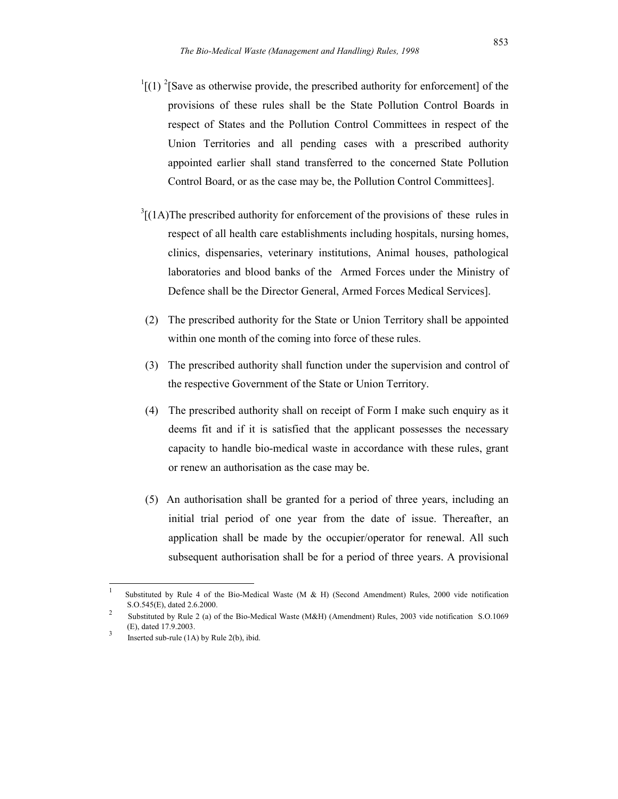- $\binom{1}{1}$  (1) <sup>2</sup>[Save as otherwise provide, the prescribed authority for enforcement] of the provisions of these rules shall be the State Pollution Control Boards in respect of States and the Pollution Control Committees in respect of the Union Territories and all pending cases with a prescribed authority appointed earlier shall stand transferred to the concerned State Pollution Control Board, or as the case may be, the Pollution Control Committees].
- $3[(1A)$ The prescribed authority for enforcement of the provisions of these rules in respect of all health care establishments including hospitals, nursing homes, clinics, dispensaries, veterinary institutions, Animal houses, pathological laboratories and blood banks of the Armed Forces under the Ministry of Defence shall be the Director General, Armed Forces Medical Services].
- (2) The prescribed authority for the State or Union Territory shall be appointed within one month of the coming into force of these rules.
- (3) The prescribed authority shall function under the supervision and control of the respective Government of the State or Union Territory.
- (4) The prescribed authority shall on receipt of Form I make such enquiry as it deems fit and if it is satisfied that the applicant possesses the necessary capacity to handle bio-medical waste in accordance with these rules, grant or renew an authorisation as the case may be.
- (5) An authorisation shall be granted for a period of three years, including an initial trial period of one year from the date of issue. Thereafter, an application shall be made by the occupier/operator for renewal. All such subsequent authorisation shall be for a period of three years. A provisional

<sup>1</sup> Substituted by Rule 4 of the Bio-Medical Waste (M & H) (Second Amendment) Rules, 2000 vide notification S.O.545(E), dated 2.6.2000.

<sup>2</sup> Substituted by Rule 2 (a) of the Bio-Medical Waste (M&H) (Amendment) Rules, 2003 vide notification S.O.1069 (E), dated 17.9.2003. 3

Inserted sub-rule (1A) by Rule 2(b), ibid.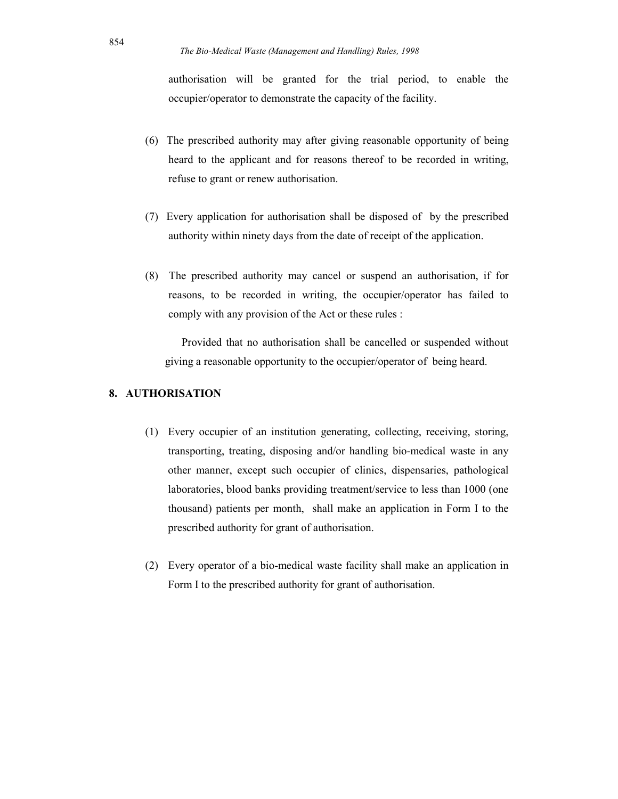authorisation will be granted for the trial period, to enable the occupier/operator to demonstrate the capacity of the facility.

- (6) The prescribed authority may after giving reasonable opportunity of being heard to the applicant and for reasons thereof to be recorded in writing, refuse to grant or renew authorisation.
- (7) Every application for authorisation shall be disposed of by the prescribed authority within ninety days from the date of receipt of the application.
- (8) The prescribed authority may cancel or suspend an authorisation, if for reasons, to be recorded in writing, the occupier/operator has failed to comply with any provision of the Act or these rules :

Provided that no authorisation shall be cancelled or suspended without giving a reasonable opportunity to the occupier/operator of being heard.

## 8. AUTHORISATION

- (1) Every occupier of an institution generating, collecting, receiving, storing, transporting, treating, disposing and/or handling bio-medical waste in any other manner, except such occupier of clinics, dispensaries, pathological laboratories, blood banks providing treatment/service to less than 1000 (one thousand) patients per month, shall make an application in Form I to the prescribed authority for grant of authorisation.
- (2) Every operator of a bio-medical waste facility shall make an application in Form I to the prescribed authority for grant of authorisation.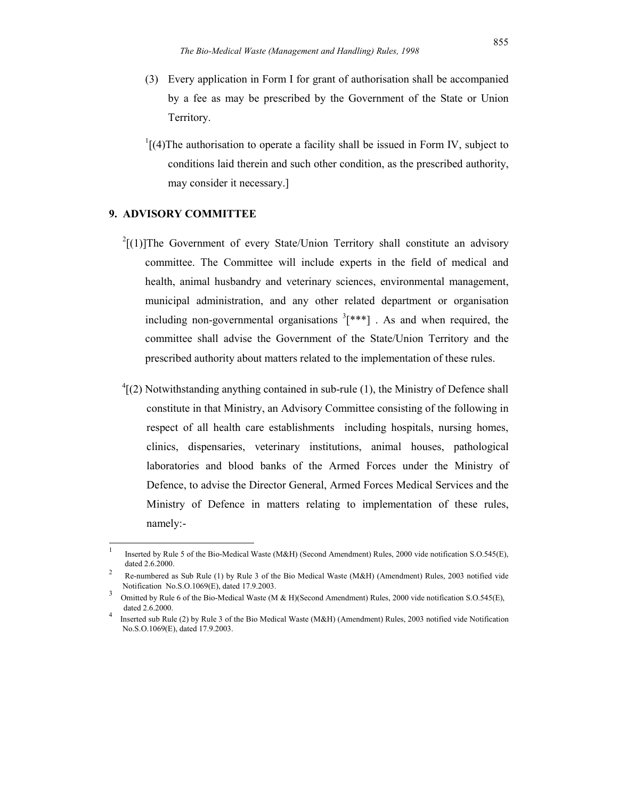- (3) Every application in Form I for grant of authorisation shall be accompanied by a fee as may be prescribed by the Government of the State or Union Territory.
- $\frac{1}{1}$ [(4)The authorisation to operate a facility shall be issued in Form IV, subject to conditions laid therein and such other condition, as the prescribed authority, may consider it necessary.]

## 9. ADVISORY COMMITTEE

- $2[(1)]$ The Government of every State/Union Territory shall constitute an advisory committee. The Committee will include experts in the field of medical and health, animal husbandry and veterinary sciences, environmental management, municipal administration, and any other related department or organisation including non-governmental organisations  $3$ [\*\*\*]. As and when required, the committee shall advise the Government of the State/Union Territory and the prescribed authority about matters related to the implementation of these rules.
- $^{4}$ [(2) Notwithstanding anything contained in sub-rule (1), the Ministry of Defence shall constitute in that Ministry, an Advisory Committee consisting of the following in respect of all health care establishments including hospitals, nursing homes, clinics, dispensaries, veterinary institutions, animal houses, pathological laboratories and blood banks of the Armed Forces under the Ministry of Defence, to advise the Director General, Armed Forces Medical Services and the Ministry of Defence in matters relating to implementation of these rules, namely:-

<sup>1</sup> Inserted by Rule 5 of the Bio-Medical Waste (M&H) (Second Amendment) Rules, 2000 vide notification S.O.545(E), dated 2.6.2000.

<sup>2</sup> Re-numbered as Sub Rule (1) by Rule 3 of the Bio Medical Waste (M&H) (Amendment) Rules, 2003 notified vide Notification No.S.O.1069(E), dated 17.9.2003. 3

Omitted by Rule 6 of the Bio-Medical Waste (M & H)(Second Amendment) Rules, 2000 vide notification S.O.545(E), dated 2.6.2000.

<sup>4</sup> Inserted sub Rule (2) by Rule 3 of the Bio Medical Waste (M&H) (Amendment) Rules, 2003 notified vide Notification No.S.O.1069(E), dated 17.9.2003.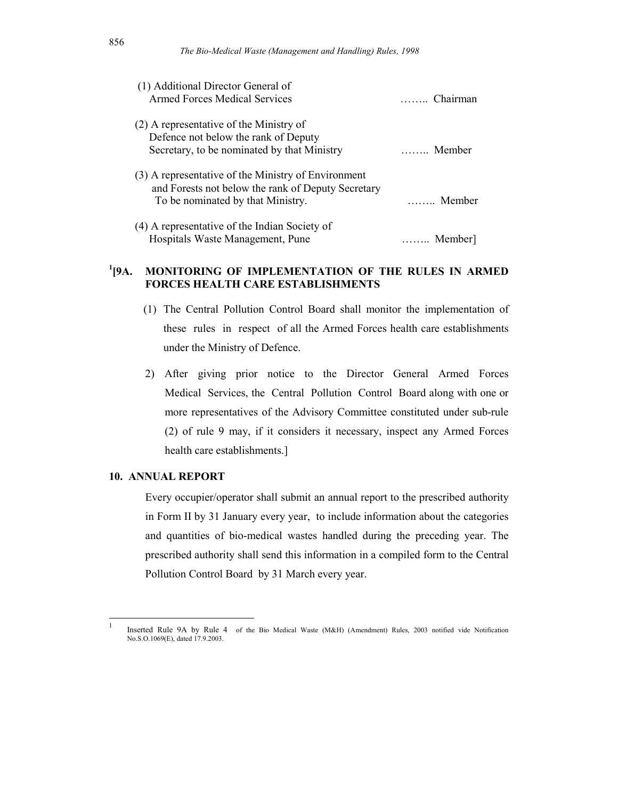| (1) Additional Director General of<br><b>Armed Forces Medical Services</b>                                | Chairman |
|-----------------------------------------------------------------------------------------------------------|----------|
| (2) A representative of the Ministry of<br>Defence not below the rank of Deputy                           |          |
| Secretary, to be nominated by that Ministry                                                               | Member   |
| (3) A representative of the Ministry of Environment<br>and Forests not below the rank of Deputy Secretary |          |
| To be nominated by that Ministry.                                                                         | Member   |
| (4) A representative of the Indian Society of                                                             |          |
| Hospitals Waste Management, Pune                                                                          | Member]  |

#### $^{1}$ [9A. MONITORING OF IMPLEMENTATION OF THE RULES IN ARMED FORCES HEALTH CARE ESTABLISHMENTS

- (1) The Central Pollution Control Board shall monitor the implementation of these rules in respect of all the Armed Forces health care establishments under the Ministry of Defence.
- 2) After giving prior notice to the Director General Armed Forces Medical Services, the Central Pollution Control Board along with one or more representatives of the Advisory Committee constituted under sub-rule (2) of rule 9 may, if it considers it necessary, inspect any Armed Forces health care establishments.]

#### 10. ANNUAL REPORT

 $\frac{1}{1}$ 

Every occupier/operator shall submit an annual report to the prescribed authority in Form II by 31 January every year, to include information about the categories and quantities of bio-medical wastes handled during the preceding year. The prescribed authority shall send this information in a compiled form to the Central Pollution Control Board by 31 March every year.

Inserted Rule 9A by Rule 4 of the Bio Medical Waste (M&H) (Amendment) Rules, 2003 notified vide Notification No.S.O.1069(E), dated 17.9.2003.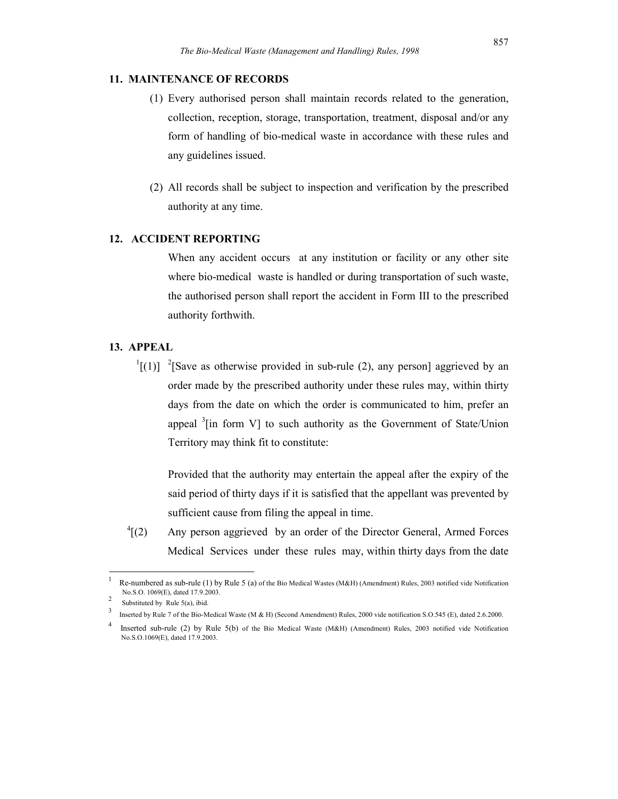#### 11. MAINTENANCE OF RECORDS

- (1) Every authorised person shall maintain records related to the generation, collection, reception, storage, transportation, treatment, disposal and/or any form of handling of bio-medical waste in accordance with these rules and any guidelines issued.
- (2) All records shall be subject to inspection and verification by the prescribed authority at any time.

### 12. ACCIDENT REPORTING

When any accident occurs at any institution or facility or any other site where bio-medical waste is handled or during transportation of such waste, the authorised person shall report the accident in Form III to the prescribed authority forthwith.

## 13. APPEAL

 $\binom{1}{1}$  <sup>2</sup>[Save as otherwise provided in sub-rule (2), any person] aggrieved by an order made by the prescribed authority under these rules may, within thirty days from the date on which the order is communicated to him, prefer an appeal  $3$ [in form V] to such authority as the Government of State/Union Territory may think fit to constitute:

Provided that the authority may entertain the appeal after the expiry of the said period of thirty days if it is satisfied that the appellant was prevented by sufficient cause from filing the appeal in time.

 $\frac{4}{2}$ [(2) Any person aggrieved by an order of the Director General, Armed Forces Medical Services under these rules may, within thirty days from the date

<sup>1</sup> Re-numbered as sub-rule (1) by Rule 5 (a) of the Bio Medical Wastes (M&H) (Amendment) Rules, 2003 notified vide Notification No.S.O. 1069(E), dated 17.9.2003.  $\mathfrak{D}$ 

Substituted by Rule 5(a), ibid.

<sup>3</sup> Inserted by Rule 7 of the Bio-Medical Waste (M & H) (Second Amendment) Rules, 2000 vide notification S.O.545 (E), dated 2.6.2000.

<sup>4</sup> Inserted sub-rule (2) by Rule 5(b) of the Bio Medical Waste (M&H) (Amendment) Rules, 2003 notified vide Notification No.S.O.1069(E), dated 17.9.2003.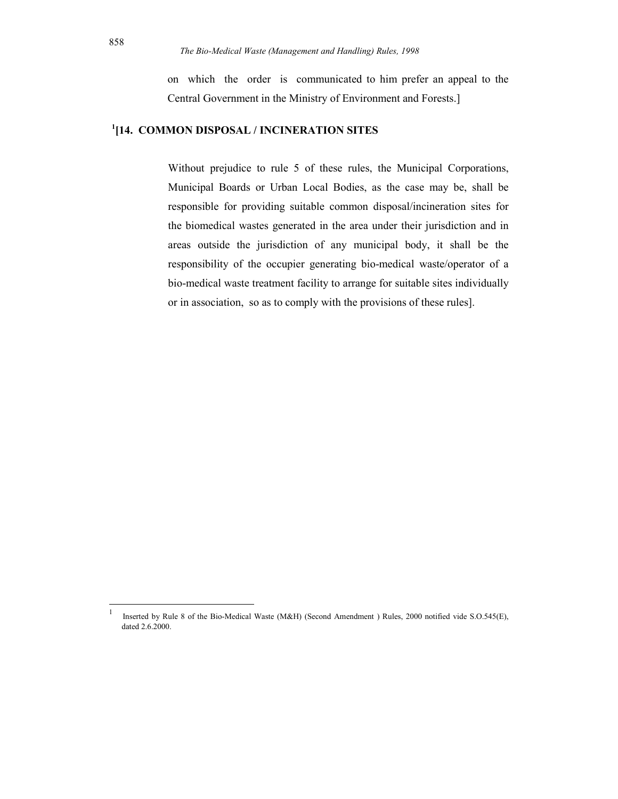on which the order is communicated to him prefer an appeal to the Central Government in the Ministry of Environment and Forests.]

## <sup>1</sup>[14. COMMON DISPOSAL / INCINERATION SITES

Without prejudice to rule 5 of these rules, the Municipal Corporations, Municipal Boards or Urban Local Bodies, as the case may be, shall be responsible for providing suitable common disposal/incineration sites for the biomedical wastes generated in the area under their jurisdiction and in areas outside the jurisdiction of any municipal body, it shall be the responsibility of the occupier generating bio-medical waste/operator of a bio-medical waste treatment facility to arrange for suitable sites individually or in association, so as to comply with the provisions of these rules].

<sup>1</sup> Inserted by Rule 8 of the Bio-Medical Waste (M&H) (Second Amendment ) Rules, 2000 notified vide S.O.545(E), dated 2.6.2000.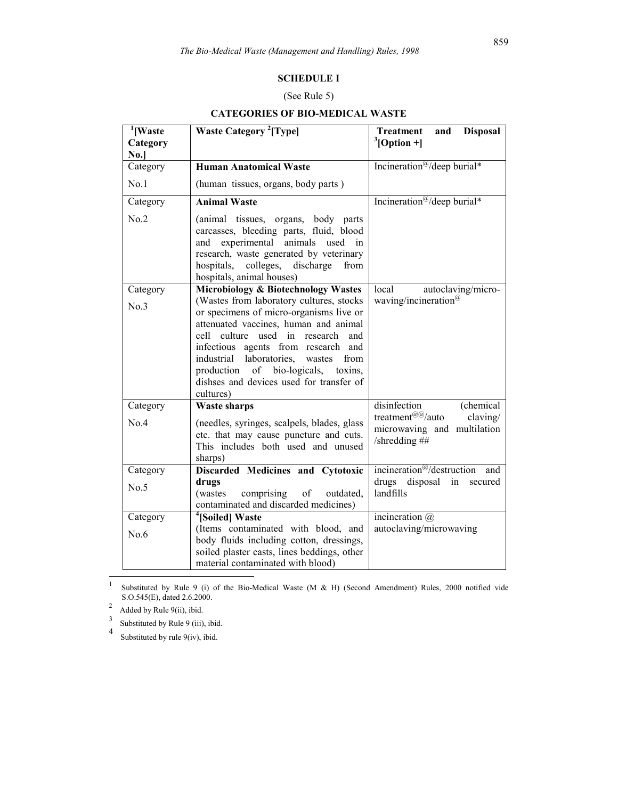#### SCHEDULE I

### (See Rule 5)

#### CATEGORIES OF BIO-MEDICAL WASTE

| <sup>1</sup> [Waste      | <b>Waste Category</b> <sup>2</sup> [Type]                                                                                                                                                                                                                                                                                                                                                                                                   | <b>Treatment</b><br>and<br><b>Disposal</b>                                                     |
|--------------------------|---------------------------------------------------------------------------------------------------------------------------------------------------------------------------------------------------------------------------------------------------------------------------------------------------------------------------------------------------------------------------------------------------------------------------------------------|------------------------------------------------------------------------------------------------|
| Category                 |                                                                                                                                                                                                                                                                                                                                                                                                                                             | $3$ [Option +]                                                                                 |
| No.]                     |                                                                                                                                                                                                                                                                                                                                                                                                                                             |                                                                                                |
| Category                 | <b>Human Anatomical Waste</b>                                                                                                                                                                                                                                                                                                                                                                                                               | Incineration <sup>@</sup> /deep burial*                                                        |
| No.1                     | (human tissues, organs, body parts)                                                                                                                                                                                                                                                                                                                                                                                                         |                                                                                                |
| Category                 | <b>Animal Waste</b>                                                                                                                                                                                                                                                                                                                                                                                                                         | Incineration <sup>@</sup> /deep burial*                                                        |
| No.2                     | (animal tissues, organs, body parts<br>carcasses, bleeding parts, fluid, blood<br>and experimental<br>animals used in<br>research, waste generated by veterinary<br>colleges, discharge<br>hospitals,<br>from<br>hospitals, animal houses)                                                                                                                                                                                                  |                                                                                                |
| Category                 | Microbiology & Biotechnology Wastes                                                                                                                                                                                                                                                                                                                                                                                                         | local<br>autoclaving/micro-                                                                    |
| No.3<br>Category<br>No.4 | (Wastes from laboratory cultures, stocks<br>or specimens of micro-organisms live or<br>attenuated vaccines, human and animal<br>culture used in<br>cell<br>research<br>and<br>infectious agents from research and<br>industrial<br>laboratories, wastes<br>from<br>of bio-logicals,<br>production<br>toxins,<br>dishses and devices used for transfer of<br>cultures)<br><b>Waste sharps</b><br>(needles, syringes, scalpels, blades, glass | waving/incineration <sup>@</sup><br>disinfection<br>(chemical)<br>treatment@@/auto<br>claving/ |
|                          | etc. that may cause puncture and cuts.<br>This includes both used and unused<br>sharps)                                                                                                                                                                                                                                                                                                                                                     | microwaving and multilation<br>/shredding ##                                                   |
| Category                 | Discarded Medicines and Cytotoxic                                                                                                                                                                                                                                                                                                                                                                                                           | incineration <sup><math>@/</math></sup> destruction<br>and                                     |
| No.5                     | drugs<br>(wastes)<br>comprising<br>of<br>outdated,<br>contaminated and discarded medicines)                                                                                                                                                                                                                                                                                                                                                 | drugs disposal in<br>secured<br>landfills                                                      |
| Category                 | <sup>4</sup> [Soiled] Waste                                                                                                                                                                                                                                                                                                                                                                                                                 | incineration $\omega$                                                                          |
| No.6                     | (Items contaminated with blood, and<br>body fluids including cotton, dressings,<br>soiled plaster casts, lines beddings, other<br>material contaminated with blood)                                                                                                                                                                                                                                                                         | autoclaving/microwaving                                                                        |

 $\frac{1}{1}$  Substituted by Rule 9 (i) of the Bio-Medical Waste (M & H) (Second Amendment) Rules, 2000 notified vide S.O.545(E), dated 2.6.2000.

2 Added by Rule 9(ii), ibid.

3 Substituted by Rule 9 (iii), ibid.

4 Substituted by rule 9(iv), ibid.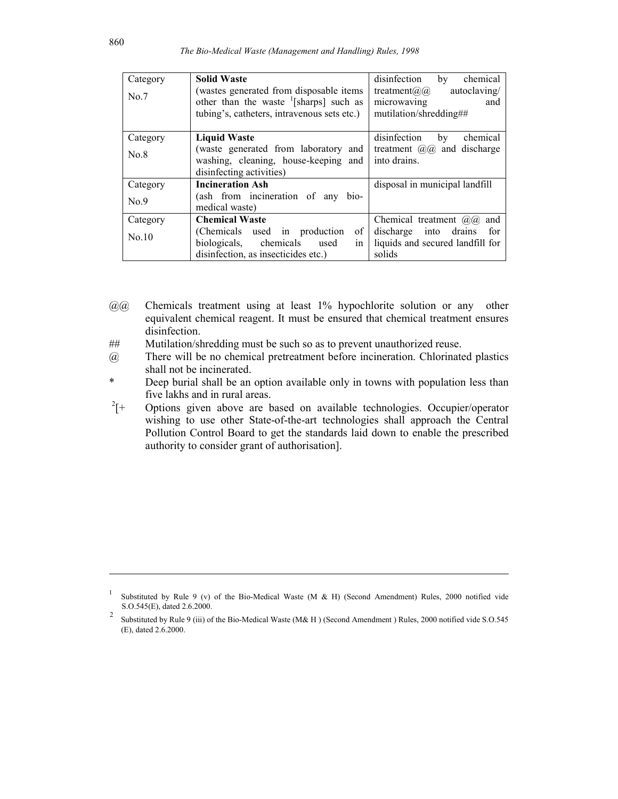| Category | <b>Solid Waste</b>                                  | chemical<br>disinfection<br>by         |
|----------|-----------------------------------------------------|----------------------------------------|
| No.7     | (wastes generated from disposable items)            | autoclaving/<br>treatment( $a$ ) $(a)$ |
|          | other than the waste $\frac{1}{2}$ [sharps] such as | microwaving<br>and                     |
|          | tubing's, catheters, intravenous sets etc.)         | mutilation/shredding##                 |
|          |                                                     |                                        |
| Category | <b>Liquid Waste</b>                                 | disinfection<br>chemical<br>by         |
| No.8     | (waste generated from laboratory and                | treatment $(a/a)$ and discharge        |
|          | washing, cleaning, house-keeping and                | into drains.                           |
|          | disinfecting activities)                            |                                        |
| Category | <b>Incineration Ash</b>                             | disposal in municipal landfill         |
| No.9     | (ash from incineration of any bio-                  |                                        |
|          | medical waste)                                      |                                        |
| Category | <b>Chemical Waste</b>                               | Chemical treatment $(a/a)$<br>and      |
| No.10    | of<br>(Chemicals used in production                 | discharge into drains<br>for           |
|          | biologicals, chemicals used<br>in                   | liquids and secured landfill for       |
|          | disinfection, as insecticides etc.)                 | solids                                 |

- $(a)$  Chemicals treatment using at least 1% hypochlorite solution or any other equivalent chemical reagent. It must be ensured that chemical treatment ensures disinfection.
- ## Mutilation/shredding must be such so as to prevent unauthorized reuse.
- @ There will be no chemical pretreatment before incineration. Chlorinated plastics shall not be incinerated.
- \* Deep burial shall be an option available only in towns with population less than five lakhs and in rural areas.
- $^{2}$ [+ Options given above are based on available technologies. Occupier/operator wishing to use other State-of-the-art technologies shall approach the Central Pollution Control Board to get the standards laid down to enable the prescribed authority to consider grant of authorisation].

<sup>1</sup> Substituted by Rule 9 (v) of the Bio-Medical Waste (M & H) (Second Amendment) Rules, 2000 notified vide S.O.545(E), dated 2.6.2000.

<sup>2</sup> Substituted by Rule 9 (iii) of the Bio-Medical Waste (M& H ) (Second Amendment ) Rules, 2000 notified vide S.O.545 (E), dated 2.6.2000.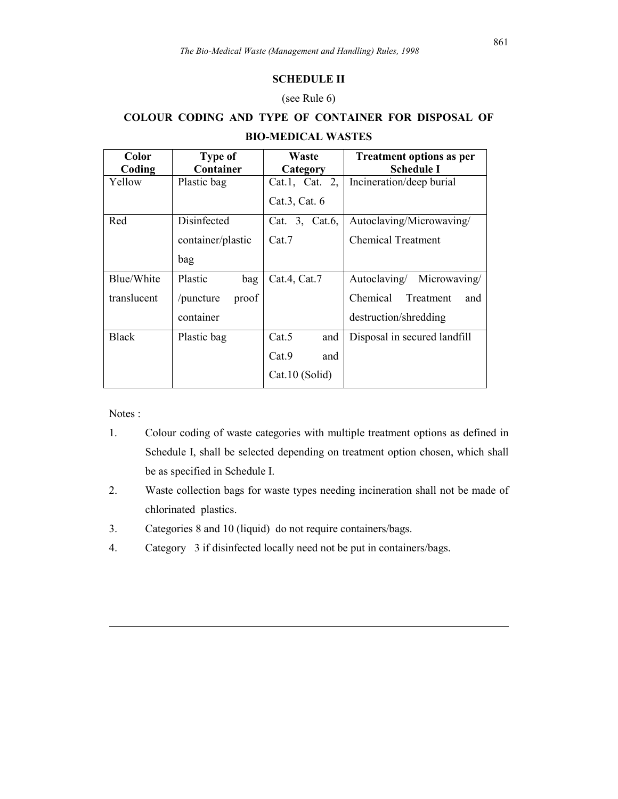## SCHEDULE II

## (see Rule 6)

## COLOUR CODING AND TYPE OF CONTAINER FOR DISPOSAL OF BIO-MEDICAL WASTES

| Color        | <b>Type of</b>     | Waste          | <b>Treatment options as per</b> |
|--------------|--------------------|----------------|---------------------------------|
| Coding       | Container          | Category       | <b>Schedule I</b>               |
| Yellow       | Plastic bag        | Cat.1, Cat. 2, | Incineration/deep burial        |
|              |                    | Cat.3, Cat. 6  |                                 |
| Red          | Disinfected        | Cat. 3, Cat.6, | Autoclaving/Microwaving/        |
|              | container/plastic  | Cat.7          | <b>Chemical Treatment</b>       |
|              | bag                |                |                                 |
| Blue/White   | Plastic<br>bag     | Cat.4, Cat.7   | Autoclaving/<br>Microwaving/    |
| translucent  | proof<br>/puncture |                | Chemical<br>Treatment<br>and    |
|              | container          |                | destruction/shredding           |
| <b>Black</b> | Plastic bag        | Cat.5<br>and   | Disposal in secured landfill    |
|              |                    | Cat.9<br>and   |                                 |
|              |                    | Cat.10 (Solid) |                                 |

Notes :

- 1. Colour coding of waste categories with multiple treatment options as defined in Schedule I, shall be selected depending on treatment option chosen, which shall be as specified in Schedule I.
- 2. Waste collection bags for waste types needing incineration shall not be made of chlorinated plastics.
- 3. Categories 8 and 10 (liquid) do not require containers/bags.
- 4. Category 3 if disinfected locally need not be put in containers/bags.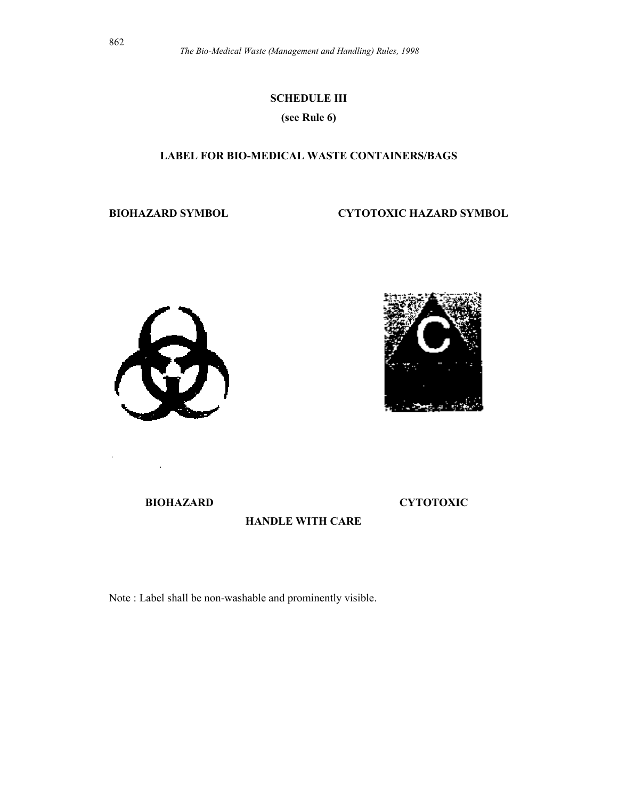## SCHEDULE III

(see Rule 6)

## LABEL FOR BIO-MEDICAL WASTE CONTAINERS/BAGS

BIOHAZARD SYMBOL CYTOTOXIC HAZARD SYMBOL





BIOHAZARD CYTOTOXIC

HANDLE WITH CARE

Note : Label shall be non-washable and prominently visible.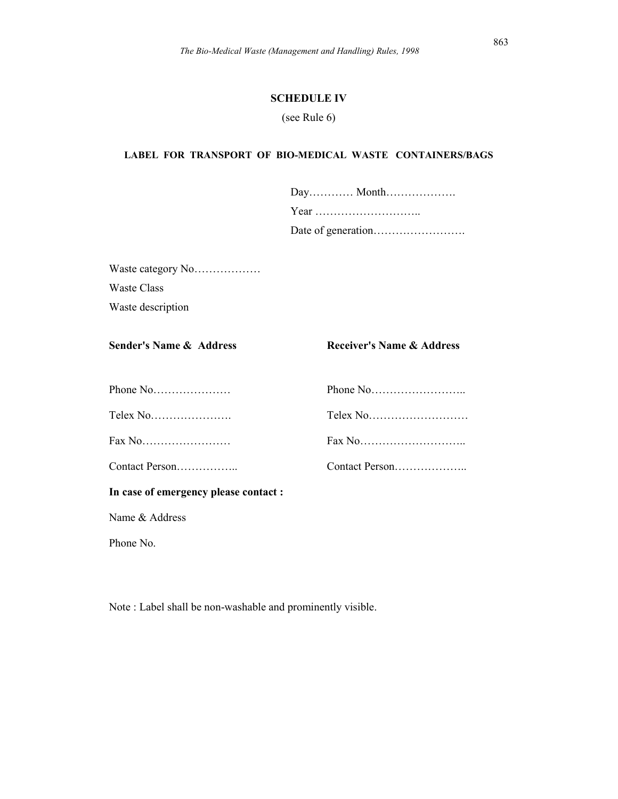#### SCHEDULE IV

(see Rule 6)

#### LABEL FOR TRANSPORT OF BIO-MEDICAL WASTE CONTAINERS/BAGS

Waste category No……………… Waste Class Waste description

Sender's Name & Address Receiver's Name & Address

| In case of emergency please contact : |  |
|---------------------------------------|--|
|                                       |  |
|                                       |  |
|                                       |  |
|                                       |  |

Name & Address

Phone No.

Note : Label shall be non-washable and prominently visible.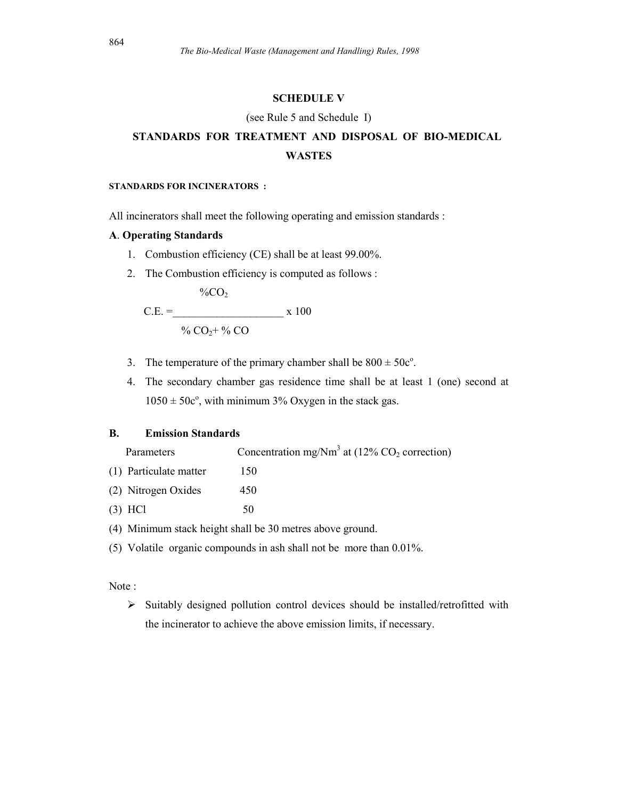#### SCHEDULE V

#### (see Rule 5 and Schedule I)

## STANDARDS FOR TREATMENT AND DISPOSAL OF BIO-MEDICAL WASTES

#### STANDARDS FOR INCINERATORS :

All incinerators shall meet the following operating and emission standards :

## A. Operating Standards

- 1. Combustion efficiency (CE) shall be at least 99.00%.
- 2. The Combustion efficiency is computed as follows :

 $\%CO$ 

C.E. = 
$$
x 100
$$
  
% CO<sub>2</sub>+ % CO

- 3. The temperature of the primary chamber shall be  $800 \pm 50c^{\circ}$ .
- 4. The secondary chamber gas residence time shall be at least 1 (one) second at  $1050 \pm 50c^{\circ}$ , with minimum 3% Oxygen in the stack gas.

## B. Emission Standards

| Parameters             | Concentration mg/Nm <sup>3</sup> at $(12\% \text{ CO}_2 \text{ correction})$ |
|------------------------|------------------------------------------------------------------------------|
| (1) Particulate matter | 150                                                                          |
| (2) Nitrogen Oxides    | 450                                                                          |
| $(3)$ HCl              | 50                                                                           |
|                        |                                                                              |

- (4) Minimum stack height shall be 30 metres above ground.
- (5) Volatile organic compounds in ash shall not be more than 0.01%.

#### Note :

 $\triangleright$  Suitably designed pollution control devices should be installed/retrofitted with the incinerator to achieve the above emission limits, if necessary.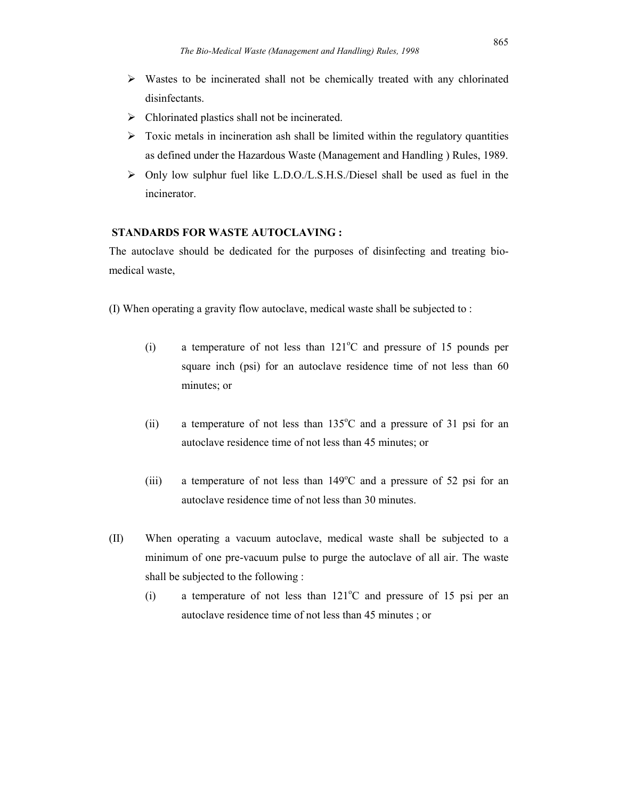- $\triangleright$  Wastes to be incinerated shall not be chemically treated with any chlorinated disinfectants.
- $\triangleright$  Chlorinated plastics shall not be incinerated.
- $\triangleright$  Toxic metals in incineration ash shall be limited within the regulatory quantities as defined under the Hazardous Waste (Management and Handling ) Rules, 1989.
- $\triangleright$  Only low sulphur fuel like L.D.O./L.S.H.S./Diesel shall be used as fuel in the incinerator.

## STANDARDS FOR WASTE AUTOCLAVING :

The autoclave should be dedicated for the purposes of disinfecting and treating biomedical waste,

- (I) When operating a gravity flow autoclave, medical waste shall be subjected to :
	- (i) a temperature of not less than  $121^{\circ}$ C and pressure of 15 pounds per square inch (psi) for an autoclave residence time of not less than 60 minutes; or
	- (ii) a temperature of not less than  $135^{\circ}$ C and a pressure of 31 psi for an autoclave residence time of not less than 45 minutes; or
	- (iii) a temperature of not less than  $149^{\circ}$ C and a pressure of 52 psi for an autoclave residence time of not less than 30 minutes.
- (II) When operating a vacuum autoclave, medical waste shall be subjected to a minimum of one pre-vacuum pulse to purge the autoclave of all air. The waste shall be subjected to the following :
	- (i) a temperature of not less than  $121^{\circ}$ C and pressure of 15 psi per an autoclave residence time of not less than 45 minutes ; or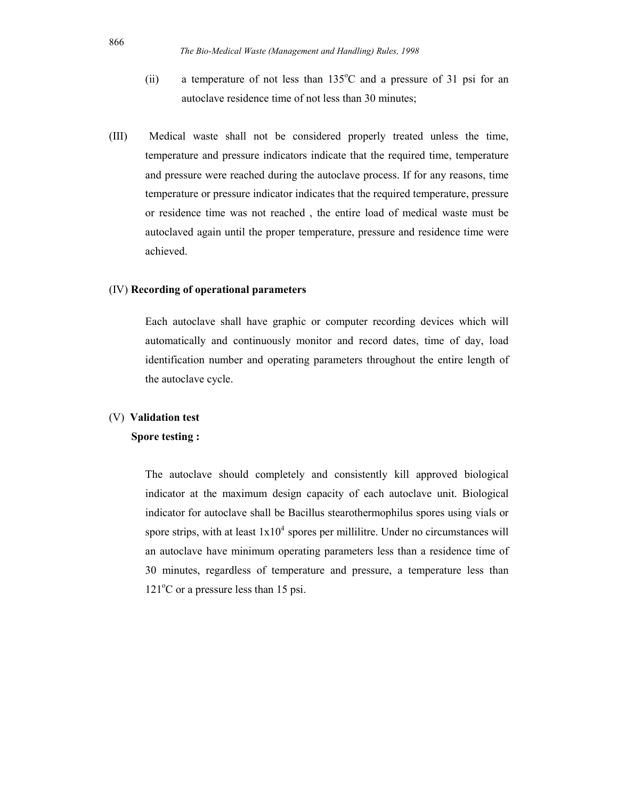- (ii) a temperature of not less than  $135^{\circ}$ C and a pressure of 31 psi for an autoclave residence time of not less than 30 minutes;
- (III) Medical waste shall not be considered properly treated unless the time, temperature and pressure indicators indicate that the required time, temperature and pressure were reached during the autoclave process. If for any reasons, time temperature or pressure indicator indicates that the required temperature, pressure or residence time was not reached , the entire load of medical waste must be autoclaved again until the proper temperature, pressure and residence time were achieved.

#### (IV) Recording of operational parameters

Each autoclave shall have graphic or computer recording devices which will automatically and continuously monitor and record dates, time of day, load identification number and operating parameters throughout the entire length of the autoclave cycle.

#### (V) Validation test

#### Spore testing :

The autoclave should completely and consistently kill approved biological indicator at the maximum design capacity of each autoclave unit. Biological indicator for autoclave shall be Bacillus stearothermophilus spores using vials or spore strips, with at least  $1x10^4$  spores per millilitre. Under no circumstances will an autoclave have minimum operating parameters less than a residence time of 30 minutes, regardless of temperature and pressure, a temperature less than  $121^{\circ}$ C or a pressure less than 15 psi.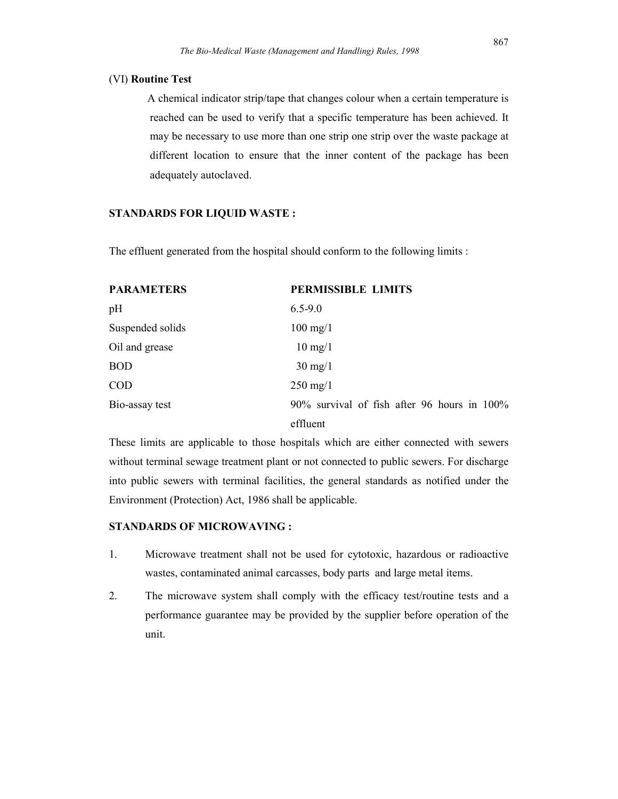#### (VI) Routine Test

 A chemical indicator strip/tape that changes colour when a certain temperature is reached can be used to verify that a specific temperature has been achieved. It may be necessary to use more than one strip one strip over the waste package at different location to ensure that the inner content of the package has been adequately autoclaved.

#### STANDARDS FOR LIQUID WASTE :

The effluent generated from the hospital should conform to the following limits :

| <b>PARAMETERS</b> | <b>PERMISSIBLE LIMITS</b>                   |
|-------------------|---------------------------------------------|
| pH                | $6.5 - 9.0$                                 |
| Suspended solids  | $100$ mg/1                                  |
| Oil and grease    | $10 \text{ mg}/1$                           |
| <b>BOD</b>        | $30 \text{ mg}/1$                           |
| <b>COD</b>        | $250 \text{ mg}/1$                          |
| Bio-assay test    | 90% survival of fish after 96 hours in 100% |
|                   | effluent                                    |

These limits are applicable to those hospitals which are either connected with sewers without terminal sewage treatment plant or not connected to public sewers. For discharge into public sewers with terminal facilities, the general standards as notified under the Environment (Protection) Act, 1986 shall be applicable.

#### STANDARDS OF MICROWAVING :

- 1. Microwave treatment shall not be used for cytotoxic, hazardous or radioactive wastes, contaminated animal carcasses, body parts and large metal items.
- 2. The microwave system shall comply with the efficacy test/routine tests and a performance guarantee may be provided by the supplier before operation of the unit.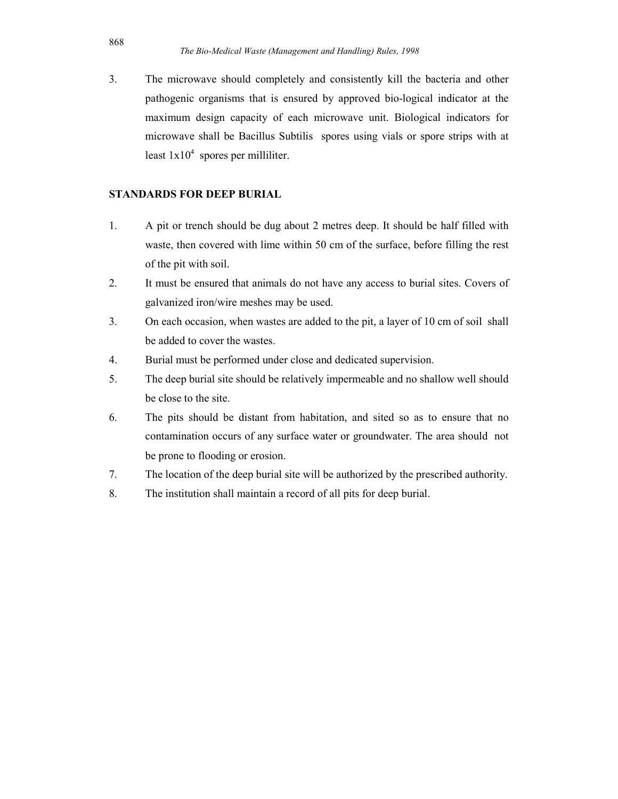3. The microwave should completely and consistently kill the bacteria and other pathogenic organisms that is ensured by approved bio-logical indicator at the maximum design capacity of each microwave unit. Biological indicators for microwave shall be Bacillus Subtilis spores using vials or spore strips with at least  $1x10^4$  spores per milliliter.

## STANDARDS FOR DEEP BURIAL

- 1. A pit or trench should be dug about 2 metres deep. It should be half filled with waste, then covered with lime within 50 cm of the surface, before filling the rest of the pit with soil.
- 2. It must be ensured that animals do not have any access to burial sites. Covers of galvanized iron/wire meshes may be used.
- 3. On each occasion, when wastes are added to the pit, a layer of 10 cm of soil shall be added to cover the wastes.
- 4. Burial must be performed under close and dedicated supervision.
- 5. The deep burial site should be relatively impermeable and no shallow well should be close to the site.
- 6. The pits should be distant from habitation, and sited so as to ensure that no contamination occurs of any surface water or groundwater. The area should not be prone to flooding or erosion.
- 7. The location of the deep burial site will be authorized by the prescribed authority.
- 8. The institution shall maintain a record of all pits for deep burial.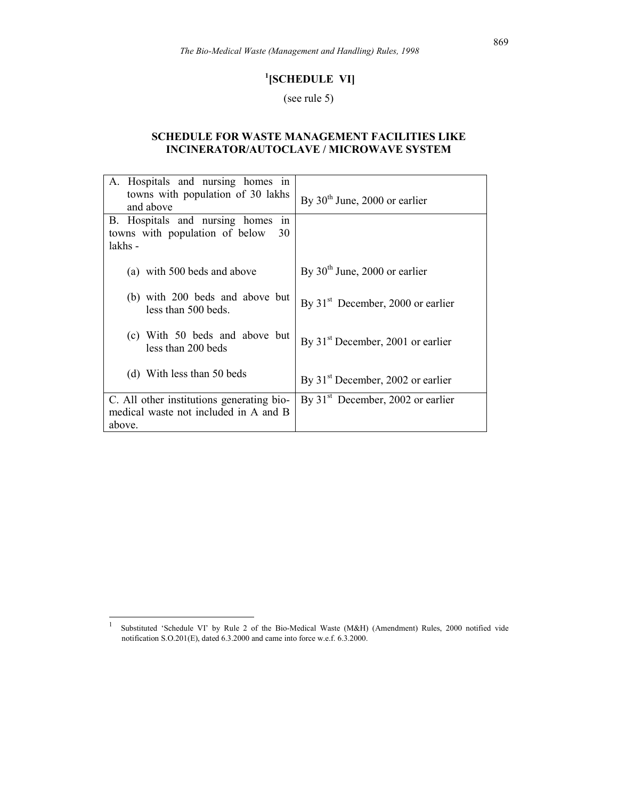## <sup>1</sup>[SCHEDULE VI]

(see rule 5)

## SCHEDULE FOR WASTE MANAGEMENT FACILITIES LIKE INCINERATOR/AUTOCLAVE / MICROWAVE SYSTEM

| A. Hospitals and nursing homes in<br>towns with population of 30 lakhs<br>and above | By $30th$ June, 2000 or earlier     |
|-------------------------------------------------------------------------------------|-------------------------------------|
| B. Hospitals and nursing homes<br>in                                                |                                     |
| towns with population of below<br>30<br>lakhs -                                     |                                     |
|                                                                                     |                                     |
| (a) with 500 beds and above                                                         | By $30th$ June, 2000 or earlier     |
| (b) with 200 beds and above but<br>less than 500 beds.                              | By $31st$ December, 2000 or earlier |
| (c) With 50 beds and above but<br>less than 200 beds                                | By $31st$ December, 2001 or earlier |
| (d) With less than 50 beds                                                          | By $31st$ December, 2002 or earlier |
| C. All other institutions generating bio-                                           | By $31st$ December, 2002 or earlier |
| medical waste not included in A and B                                               |                                     |
| above.                                                                              |                                     |

 $\frac{1}{1}$  Substituted 'Schedule VI' by Rule 2 of the Bio-Medical Waste (M&H) (Amendment) Rules, 2000 notified vide notification S.O.201(E), dated 6.3.2000 and came into force w.e.f. 6.3.2000.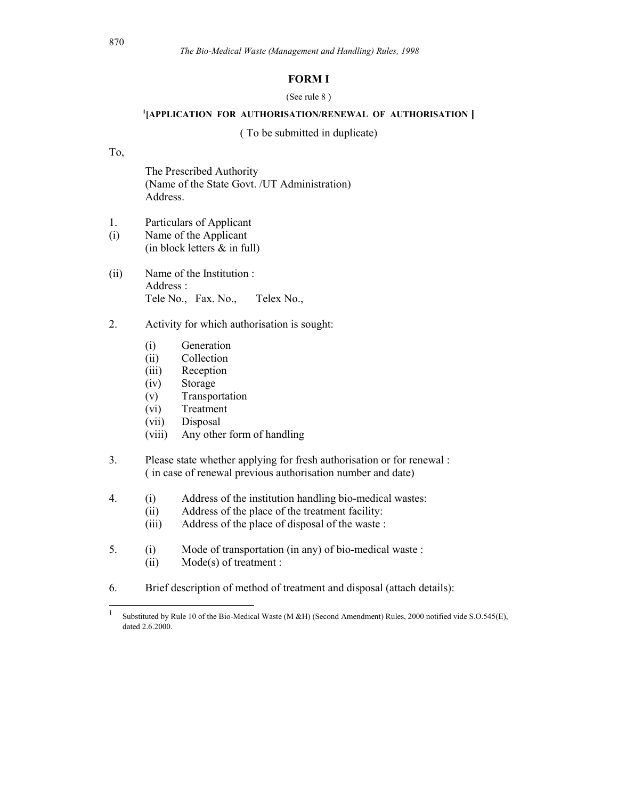#### FORM I

#### (See rule 8 )

#### <sup>1</sup>[APPLICATION FOR AUTHORISATION/RENEWAL OF AUTHORISATION ]

( To be submitted in duplicate)

#### To,

 The Prescribed Authority (Name of the State Govt. /UT Administration) Address.

- 1. Particulars of Applicant
- (i) Name of the Applicant (in block letters & in full)
- (ii) Name of the Institution : Address : Tele No., Fax. No., Telex No.,
- 2. Activity for which authorisation is sought:
	- (i) Generation
	- (ii) Collection
	- (iii) Reception
	- (iv) Storage
	- (v) Transportation
	- (vi) Treatment
	- (vii) Disposal
	- (viii) Any other form of handling
- 3. Please state whether applying for fresh authorisation or for renewal : ( in case of renewal previous authorisation number and date)
- 4. (i) Address of the institution handling bio-medical wastes:
	- (ii) Address of the place of the treatment facility:
	- (iii) Address of the place of disposal of the waste :
- 5. (i) Mode of transportation (in any) of bio-medical waste : (ii) Mode(s) of treatment :
- 6. Brief description of method of treatment and disposal (attach details):

 $\frac{1}{1}$  Substituted by Rule 10 of the Bio-Medical Waste (M &H) (Second Amendment) Rules, 2000 notified vide S.O.545(E), dated 2.6.2000.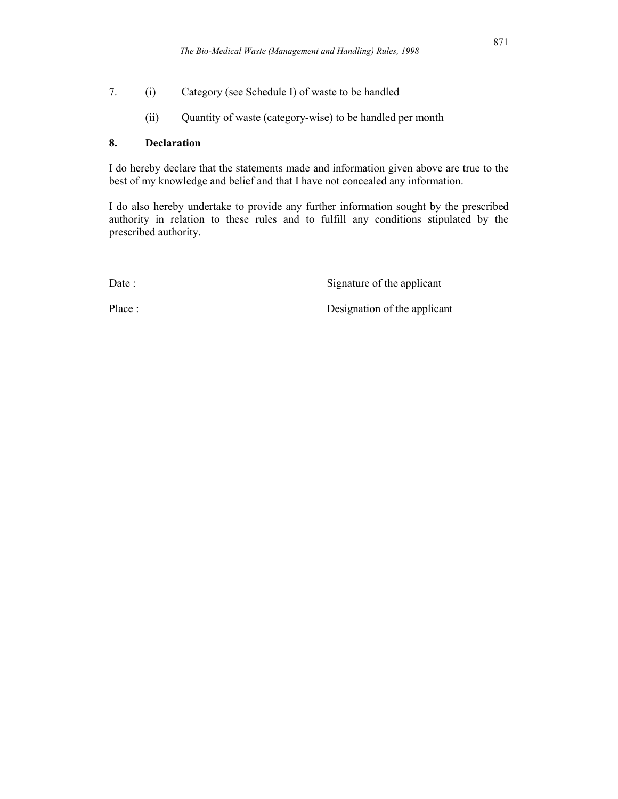7. (i) Category (see Schedule I) of waste to be handled

(ii) Quantity of waste (category-wise) to be handled per month

## 8. Declaration

I do hereby declare that the statements made and information given above are true to the best of my knowledge and belief and that I have not concealed any information.

I do also hereby undertake to provide any further information sought by the prescribed authority in relation to these rules and to fulfill any conditions stipulated by the prescribed authority.

Date : Signature of the applicant

Place : Designation of the applicant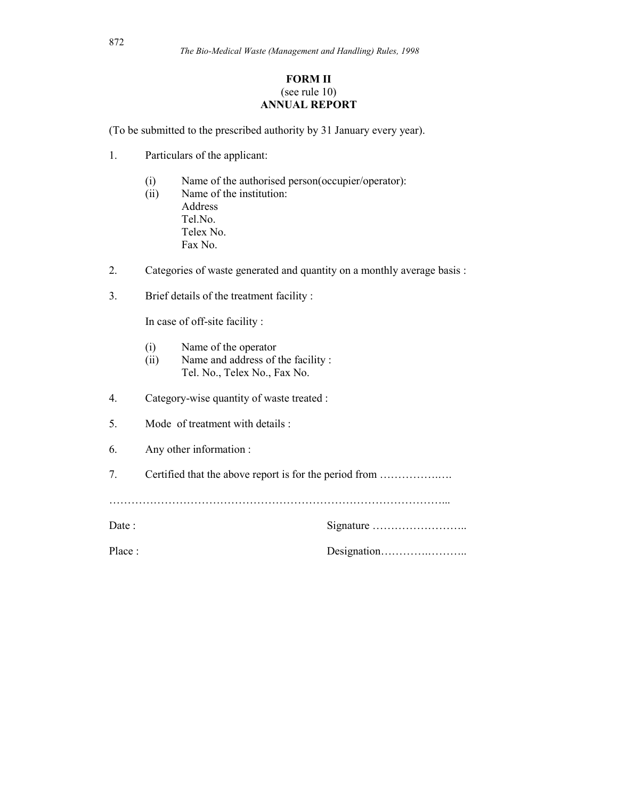## FORM II (see rule 10) ANNUAL REPORT

(To be submitted to the prescribed authority by 31 January every year).

- 1. Particulars of the applicant:
	- (i) Name of the authorised person(occupier/operator):
	- (ii) Name of the institution: Address Tel.No. Telex No. Fax No.
- 2. Categories of waste generated and quantity on a monthly average basis :
- 3. Brief details of the treatment facility :

In case of off-site facility :

- (i) Name of the operator
- (ii) Name and address of the facility : Tel. No., Telex No., Fax No.
- 4. Category-wise quantity of waste treated :
- 5. Mode of treatment with details :
- 6. Any other information :
- 7. Certified that the above report is for the period from …………….….

………………………………………………………………………………...

| Date :  |  |
|---------|--|
| Place : |  |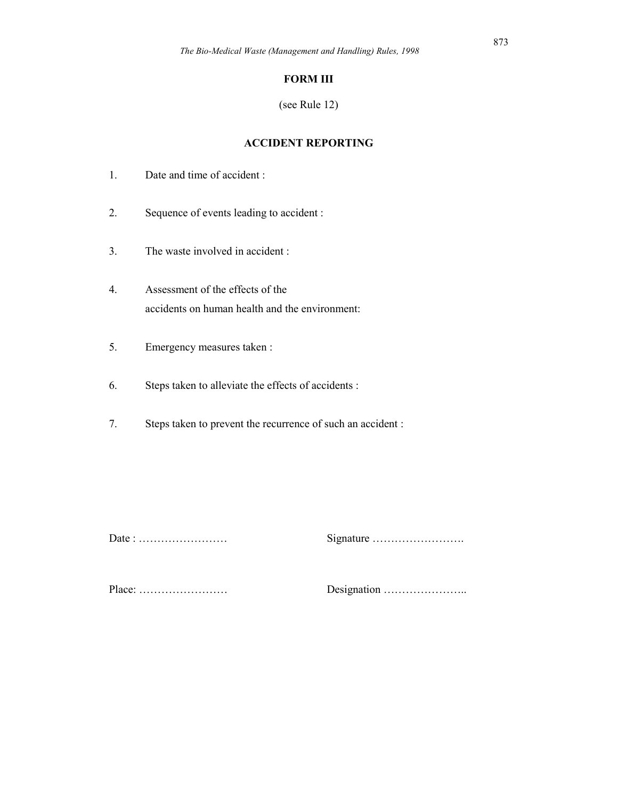## FORM III

(see Rule 12)

## ACCIDENT REPORTING

- 1. Date and time of accident :
- 2. Sequence of events leading to accident :
- 3. The waste involved in accident :
- 4. Assessment of the effects of the accidents on human health and the environment:
- 5. Emergency measures taken :
- 6. Steps taken to alleviate the effects of accidents :
- 7. Steps taken to prevent the recurrence of such an accident :

Date : …………………… Signature …………………….

Place: …………………… Designation …………………..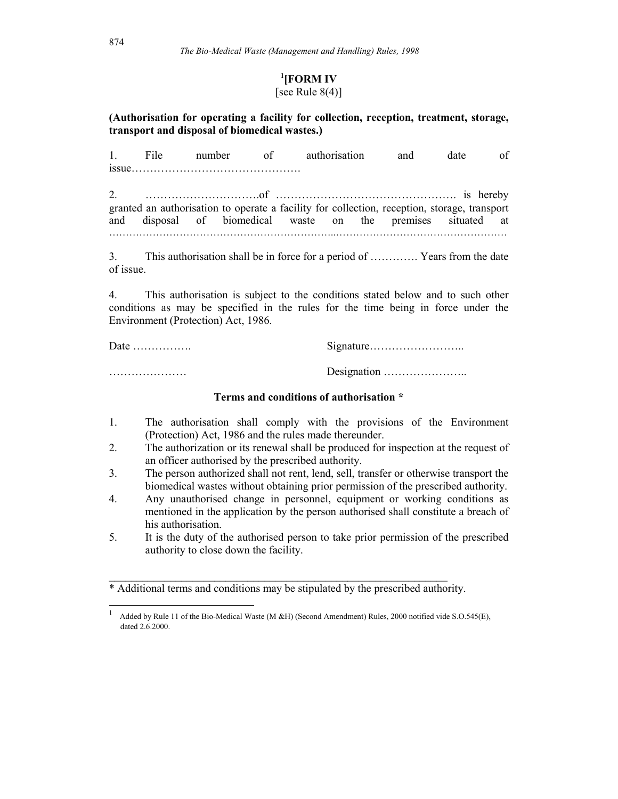## <sup>1</sup>[FORM IV]

## [see Rule  $8(4)$ ]

## (Authorisation for operating a facility for collection, reception, treatment, storage, transport and disposal of biomedical wastes.)

1. File number of authorisation and date of issue……………………………………….

2. ………………………….of …………………………………………. is hereby granted an authorisation to operate a facility for collection, reception, storage, transport and disposal of biomedical waste on the premises situated at …………………………………………………………..……………………………………………

3. This authorisation shall be in force for a period of …………. Years from the date of issue.

4. This authorisation is subject to the conditions stated below and to such other conditions as may be specified in the rules for the time being in force under the Environment (Protection) Act, 1986.

| Date $\dots\dots\dots\dots\dots$ |                                             |
|----------------------------------|---------------------------------------------|
|                                  | Designation $\dots \dots \dots \dots \dots$ |

## Terms and conditions of authorisation \*

- 1. The authorisation shall comply with the provisions of the Environment (Protection) Act, 1986 and the rules made thereunder.
- 2. The authorization or its renewal shall be produced for inspection at the request of an officer authorised by the prescribed authority.
- 3. The person authorized shall not rent, lend, sell, transfer or otherwise transport the biomedical wastes without obtaining prior permission of the prescribed authority.
- 4. Any unauthorised change in personnel, equipment or working conditions as mentioned in the application by the person authorised shall constitute a breach of his authorisation.
- 5. It is the duty of the authorised person to take prior permission of the prescribed authority to close down the facility.

\* Additional terms and conditions may be stipulated by the prescribed authority.

\_\_\_\_\_\_\_\_\_\_\_\_\_\_\_\_\_\_\_\_\_\_\_\_\_\_\_\_\_\_\_\_\_\_\_\_\_\_\_\_\_\_\_\_\_\_\_\_\_\_\_\_\_\_\_\_\_\_\_\_\_

1

<sup>1</sup> Added by Rule 11 of the Bio-Medical Waste (M &H) (Second Amendment) Rules, 2000 notified vide S.O.545(E), dated 2.6.2000.